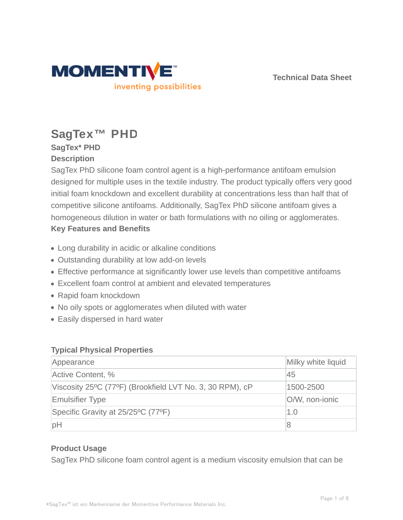

**Technical Data Sheet**

# **SagTex™ PHD**

## **SagTex\* PHD Description**

SagTex PhD silicone foam control agent is a high-performance antifoam emulsion designed for multiple uses in the textile industry. The product typically offers very good initial foam knockdown and excellent durability at concentrations less than half that of competitive silicone antifoams. Additionally, SagTex PhD silicone antifoam gives a homogeneous dilution in water or bath formulations with no oiling or agglomerates. **Key Features and Benefits**

- Long durability in acidic or alkaline conditions
- Outstanding durability at low add-on levels
- Effective performance at significantly lower use levels than competitive antifoams
- Excellent foam control at ambient and elevated temperatures
- Rapid foam knockdown
- No oily spots or agglomerates when diluted with water
- Easily dispersed in hard water

## **Typical Physical Properties**

| Appearance                                               | Milky white liquid |
|----------------------------------------------------------|--------------------|
| Active Content, %                                        | 45                 |
| Viscosity 25°C (77°F) (Brookfield LVT No. 3, 30 RPM), cP | 1500-2500          |
| <b>Emulsifier Type</b>                                   | O/W, non-ionic     |
| Specific Gravity at 25/25°C (77°F)                       | 1.0                |
| pH                                                       | 8                  |

## **Product Usage**

SagTex PhD silicone foam control agent is a medium viscosity emulsion that can be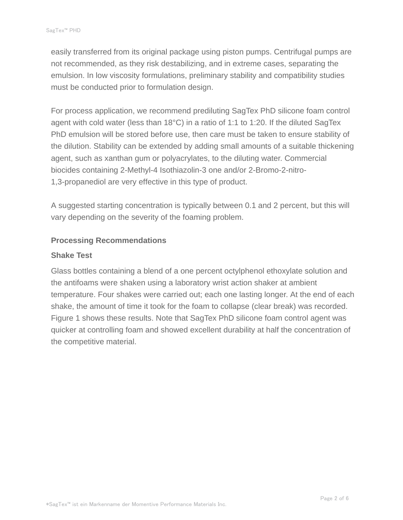easily transferred from its original package using piston pumps. Centrifugal pumps are not recommended, as they risk destabilizing, and in extreme cases, separating the emulsion. In low viscosity formulations, preliminary stability and compatibility studies must be conducted prior to formulation design.

For process application, we recommend prediluting SagTex PhD silicone foam control agent with cold water (less than 18°C) in a ratio of 1:1 to 1:20. If the diluted SagTex PhD emulsion will be stored before use, then care must be taken to ensure stability of the dilution. Stability can be extended by adding small amounts of a suitable thickening agent, such as xanthan gum or polyacrylates, to the diluting water. Commercial biocides containing 2-Methyl-4 Isothiazolin-3 one and/or 2-Bromo-2-nitro-1,3-propanediol are very effective in this type of product.

A suggested starting concentration is typically between 0.1 and 2 percent, but this will vary depending on the severity of the foaming problem.

### **Processing Recommendations**

#### **Shake Test**

Glass bottles containing a blend of a one percent octylphenol ethoxylate solution and the antifoams were shaken using a laboratory wrist action shaker at ambient temperature. Four shakes were carried out; each one lasting longer. At the end of each shake, the amount of time it took for the foam to collapse (clear break) was recorded. Figure 1 shows these results. Note that SagTex PhD silicone foam control agent was quicker at controlling foam and showed excellent durability at half the concentration of the competitive material.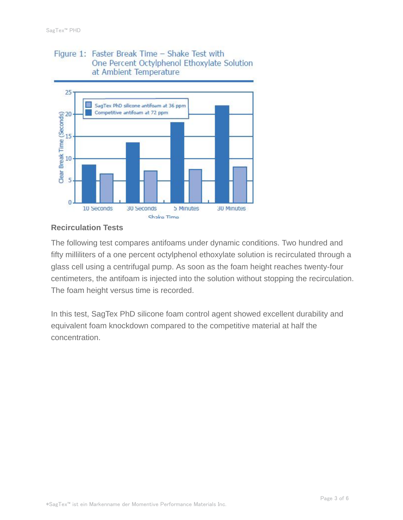## Figure 1: Faster Break Time - Shake Test with One Percent Octylphenol Ethoxylate Solution at Ambient Temperature



## **Recirculation Tests**

The following test compares antifoams under dynamic conditions. Two hundred and fifty milliliters of a one percent octylphenol ethoxylate solution is recirculated through a glass cell using a centrifugal pump. As soon as the foam height reaches twenty-four centimeters, the antifoam is injected into the solution without stopping the recirculation. The foam height versus time is recorded.

In this test, SagTex PhD silicone foam control agent showed excellent durability and equivalent foam knockdown compared to the competitive material at half the concentration.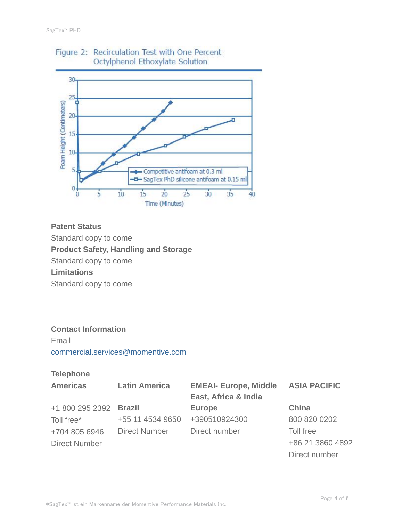

# Figure 2: Recirculation Test with One Percent Octylphenol Ethoxylate Solution

## **Patent Status**

Standard copy to come

**Product Safety, Handling and Storage**

Standard copy to come

**Limitations**

Standard copy to come

## **Contact Information**

Email commercial.services@momentive.com

## **Telephone**

| <b>Americas</b>        | <b>Latin America</b> | <b>EMEAI- Europe, Middle</b> | <b>ASIA PACIFIC</b> |
|------------------------|----------------------|------------------------------|---------------------|
|                        |                      | East, Africa & India         |                     |
| +1 800 295 2392 Brazil |                      | <b>Europe</b>                | <b>China</b>        |
| Toll free*             | +55 11 4534 9650     | +390510924300                | 800 820 0202        |
| +704 805 6946          | <b>Direct Number</b> | Direct number                | Toll free           |
| <b>Direct Number</b>   |                      |                              | +86 21 3860 4892    |
|                        |                      |                              | Direct number       |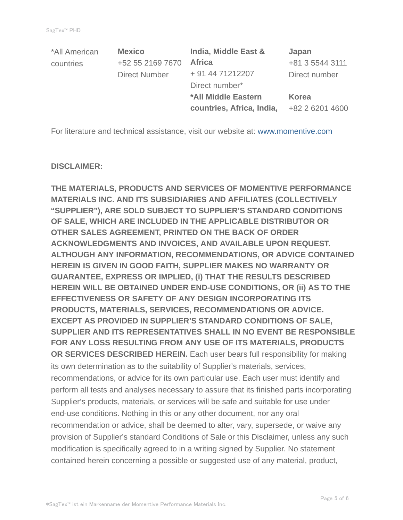| *All American | <b>Mexico</b>        | India, Middle East &       | Japan           |
|---------------|----------------------|----------------------------|-----------------|
| countries     | +52 55 2169 7670     | <b>Africa</b>              | +81 3 5544 3111 |
|               | <b>Direct Number</b> | + 91 44 71212207           | Direct number   |
|               |                      | Direct number*             |                 |
|               |                      | <b>*All Middle Eastern</b> | Korea           |
|               |                      | countries, Africa, India,  | +82 2 6201 4600 |

For literature and technical assistance, visit our website at: www.momentive.com

#### **DISCLAIMER:**

**THE MATERIALS, PRODUCTS AND SERVICES OF MOMENTIVE PERFORMANCE MATERIALS INC. AND ITS SUBSIDIARIES AND AFFILIATES (COLLECTIVELY "SUPPLIER"), ARE SOLD SUBJECT TO SUPPLIER'S STANDARD CONDITIONS OF SALE, WHICH ARE INCLUDED IN THE APPLICABLE DISTRIBUTOR OR OTHER SALES AGREEMENT, PRINTED ON THE BACK OF ORDER ACKNOWLEDGMENTS AND INVOICES, AND AVAILABLE UPON REQUEST. ALTHOUGH ANY INFORMATION, RECOMMENDATIONS, OR ADVICE CONTAINED HEREIN IS GIVEN IN GOOD FAITH, SUPPLIER MAKES NO WARRANTY OR GUARANTEE, EXPRESS OR IMPLIED, (i) THAT THE RESULTS DESCRIBED HEREIN WILL BE OBTAINED UNDER END-USE CONDITIONS, OR (ii) AS TO THE EFFECTIVENESS OR SAFETY OF ANY DESIGN INCORPORATING ITS PRODUCTS, MATERIALS, SERVICES, RECOMMENDATIONS OR ADVICE. EXCEPT AS PROVIDED IN SUPPLIER'S STANDARD CONDITIONS OF SALE, SUPPLIER AND ITS REPRESENTATIVES SHALL IN NO EVENT BE RESPONSIBLE FOR ANY LOSS RESULTING FROM ANY USE OF ITS MATERIALS, PRODUCTS OR SERVICES DESCRIBED HEREIN.** Each user bears full responsibility for making its own determination as to the suitability of Supplier's materials, services, recommendations, or advice for its own particular use. Each user must identify and perform all tests and analyses necessary to assure that its finished parts incorporating Supplier's products, materials, or services will be safe and suitable for use under end-use conditions. Nothing in this or any other document, nor any oral recommendation or advice, shall be deemed to alter, vary, supersede, or waive any provision of Supplier's standard Conditions of Sale or this Disclaimer, unless any such modification is specifically agreed to in a writing signed by Supplier. No statement contained herein concerning a possible or suggested use of any material, product,